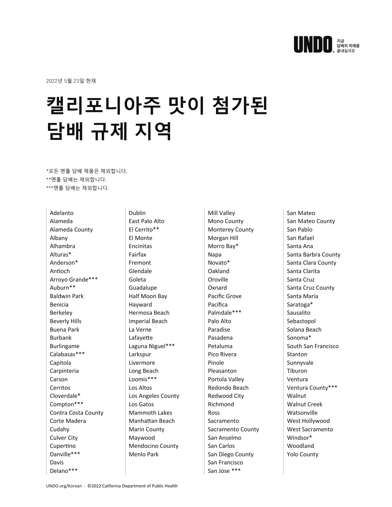

2022년 5월 23일 현재

## **캘리포니아주 맛이 첨가된 담배 규제 지역**

\*모든 멘톨 담배 제품은 제외합니다. \*\*멘톨 담배는 제외합니다. \*\*\*멘톨 담배는 제외합니다.

Adelanto Alameda Alameda County Albany Alhambra Alturas\* Anderson\* Antioch Arroyo Grande\*\*\* Auburn\*\* Baldwin Park Benicia Berkeley Beverly Hills Buena Park Burbank Burlingame Calabasas\*\*\* Capitola Carpinteria Carson Cerritos Cloverdale\* Compton\*\*\* Contra Costa County Corte Madera Cudahy Culver City Cupertino Danville\*\*\* Davis Delano\*\*\*

Dublin East Palo Alto El Cerrito\*\* El Monte Encinitas Fairfax Fremont Glendale Goleta Guadalupe Half Moon Bay Hayward Hermosa Beach Imperial Beach La Verne Lafayette Laguna Niguel\*\*\* Larkspur Livermore Long Beach Loomis\*\*\* Los Altos Los Angeles County Los Gatos Mammoth Lakes Manhattan Beach Marin County Maywood Mendocino County Menlo Park

Mill Valley Mono County Monterey County Morgan Hill Morro Bay\* Napa Novato\* Oakland Oroville Oxnard Pacific Grove Pacifica Palmdale\*\*\* Palo Alto Paradise Pasadena Petaluma Pico Rivera Pinole Pleasanton Portola Valley Redondo Beach Redwood City Richmond Ross Sacramento Sacramento County San Anselmo San Carlos San Diego County San Francisco San Jose \*\*\*

San Mateo San Mateo County San Pablo San Rafael Santa Ana Santa Barbra County Santa Clara County Santa Clarita Santa Cruz Santa Cruz County Santa Maria Saratoga\* Sausalito Sebastopol Solana Beach Sonoma\* South San Francisco Stanton Sunnyvale Tiburon Ventura Ventura County\*\*\* **Walnut** Walnut Creek **Watsonville** West Hollywood West Sacramento Windsor\* Woodland Yolo County